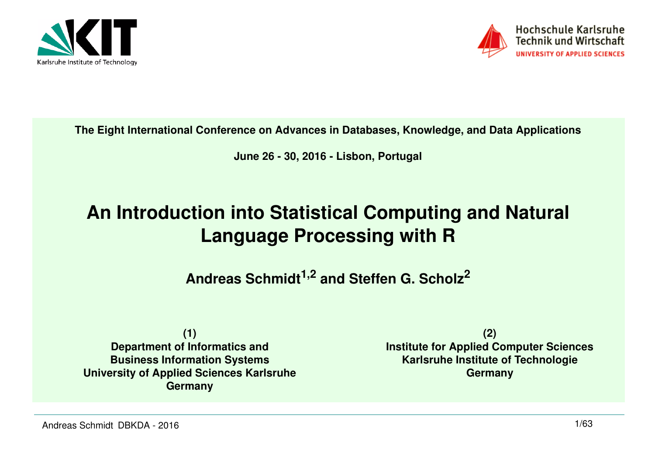



**The Eight International Conference on Advances in Databases, Knowledge, and Data Applications**

**June 26 - 30, 2016 - Lisbon, Portugal**

# **An Introduction into Statistical Computing and Natural Language Processing with R**

**Andreas Schmidt1,2 and Steffen G. Scholz<sup>2</sup>**

**(1) Department of Informatics and Business Information Systems University of Applied Sciences KarlsruheGermany**

**(2) Institute for Applied Computer SciencesKarlsruhe Institute of TechnologieGermany**

Andreas Schmidt DBKDA - 2016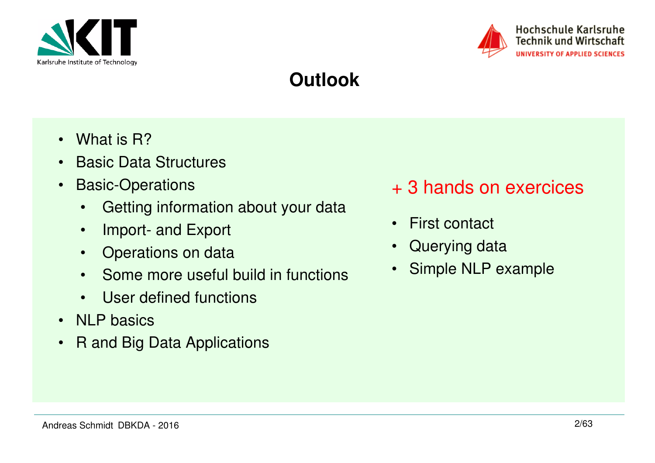



## **Outlook**

- What is R?
- Basic Data Structures
- • Basic-Operations
	- •Getting information about your data
	- •Import- and Export
	- •Operations on data
	- Some more useful build in functions
	- User defined functions
- NLP basics
- R and Big Data Applications
- + 3 hands on exercices
- First contact
- •Querying data
- •Simple NLP example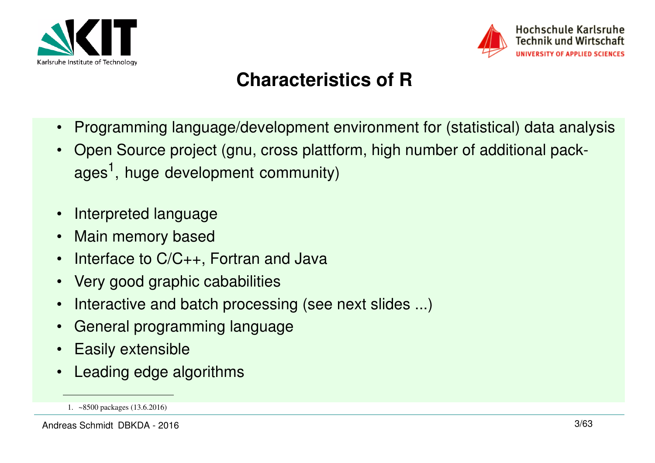



# **Characteristics of R**

- $\bullet$ Programming language/development environment for (statistical) data analysis
- • Open Source project (gnu, cross plattform, high number of additional packages<sup>1</sup>, huge development community)
- •Interpreted language
- $\bullet$ Main memory based
- •Interface to C/C++, Fortran and Java
- $\bullet$ Very good graphic cababilities
- •Interactive and batch processing (see next slides ...)
- •General programming language
- •Easily extensible
- •Leading edge algorithms

<sup>1.</sup> ~8500 packages (13.6.2016)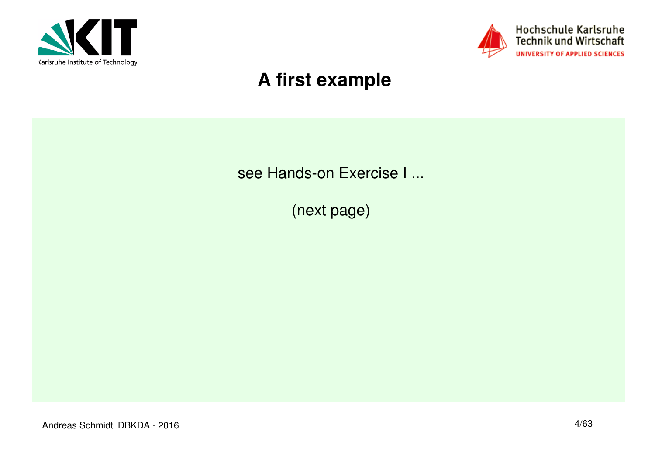



# **A first example**

see Hands-on Exercise I ...

(next page)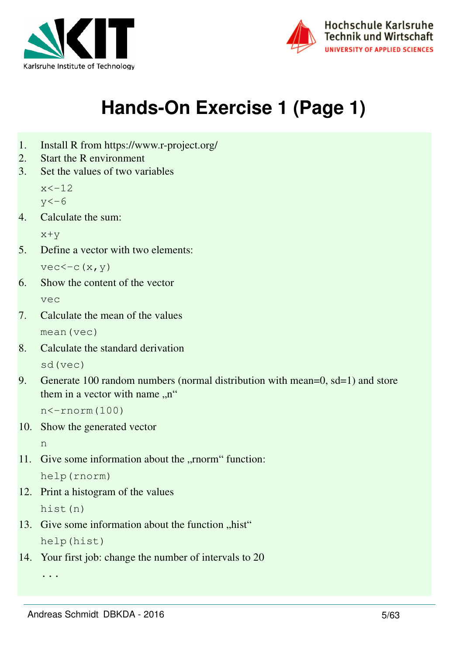



# **Hands-On Exercise 1 (Page 1)**

- 1. Install R from https://www.r-project.org/
- 2. Start the R environment
- 3. Set the values of two variables

 $x < -12$ 

 $y < -6$ 

4. Calculate the sum:

x+y

5. Define a vector with two elements:

```
vec<-c(x,y)
```
- 6. Show the content of the vector vec
- 7. Calculate the mean of the values mean(vec)
- 8. Calculate the standard derivation sd(vec)
- 9. Generate 100 random numbers (normal distribution with mean=0, sd=1) and store them in a vector with name  $\mu$ "

 $n < -rnorm(100)$ 

10. Show the generated vector

n

11. Give some information about the "rnorm" function: help(rnorm)

12. Print a histogram of the values

hist(n)

- 13. Give some information about the function "hist" help(hist)
- 14. Your first job: change the number of intervals to 20

...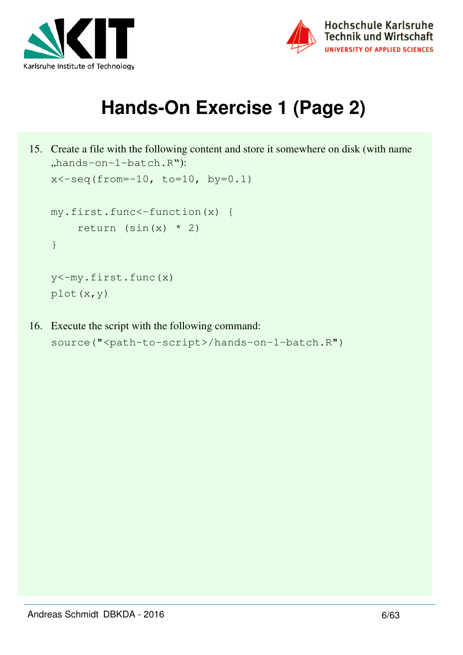



# **Hands-On Exercise 1 (Page 2)**

```
15. Create a file with the following content and store it somewhere on disk (with name 
   "hands-on-1-batch.R"):
   x < -seq(from=-10, to=10, by=0.1)my.first.func<-function(x) {
        return (sin(x) * 2)}
    y<-my.first.func(x)
   plot(x,y)
```

```
16. Execute the script with the following command:
    source("<path-to-script>/hands-on-1-batch.R")
```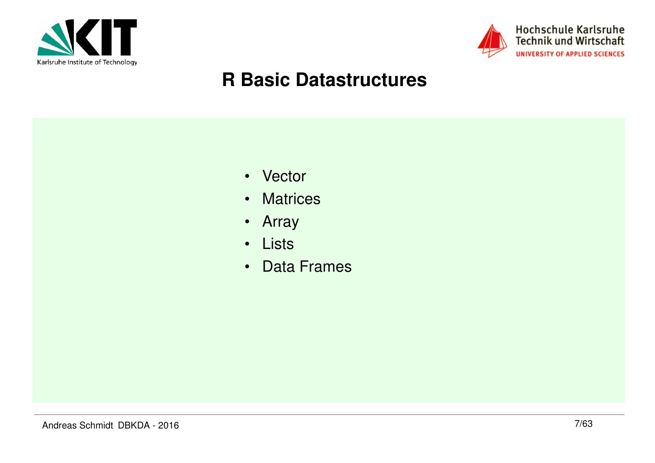



# **R Basic Datastructures**

- Vector
- Matrices
- Array
- Lists
- Data Frames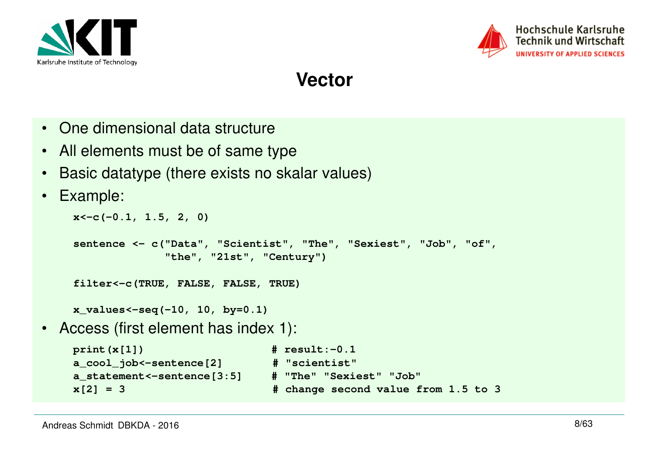



**Vector**

- One dimensional data structure
- All elements must be of same type
- $\bullet$ Basic datatype (there exists no skalar values)
- •Example:

```
x<-c(-0.1, 1.5, 2, 0)sentence <- c("Data", "Scientist", "The", "Sexiest", "Job", "of", "the", "21st", "Century")filter<-c(TRUE, FALSE, FALSE, TRUE)x_values<-seq(-10, 10, by=0.1)• Access (first element has index 1):
   print(x[1]) # result:-0.1# "scientist"
    a_cool_job<-sentence[2] # "scientist"
   a_statement <-sentence [3:5]
```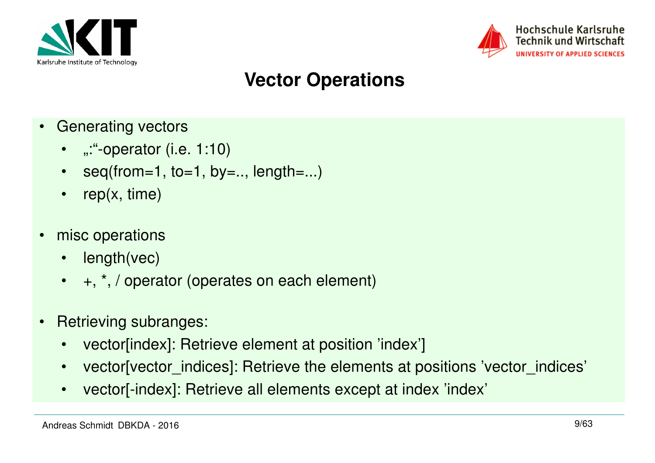



# **Vector Operations**

- • Generating vectors
	- ":"-operator (i.e. 1:10)
	- seq(from=1, to=1, by=.., length=...)
	- $\bullet$ rep(x, time)
- • misc operations
	- length(vec)
	- +, \*, / operator (operates on each element)
- • Retrieving subranges:
	- $\bullet$ vector[index]: Retrieve element at position 'index']
	- $\bullet$ vector[vector\_indices]: Retrieve the elements at positions 'vector\_indices'
	- $\bullet$ vector[-index]: Retrieve all elements except at index 'index'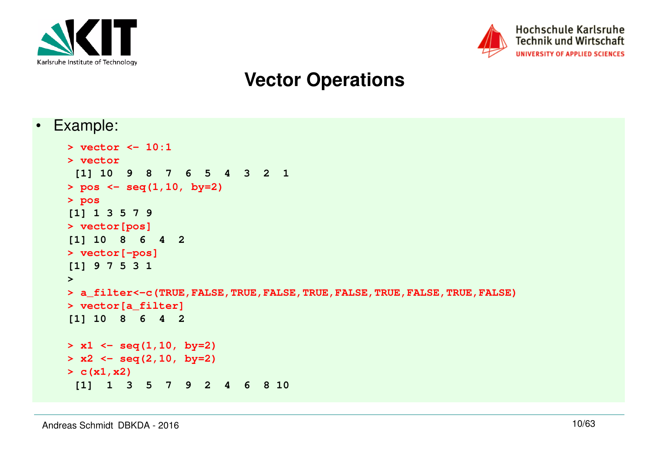



## **Vector Operations**

•Example:

```
> vector <- 10:1> vector
 [1] 10 9 8 7 6 5 4 3 2 1> pos <- seq(1,10, by=2)> pos
[1] 1 3 5 7 9
> vector[pos]
[1] 10 8 6 4 2> vector[-pos]
[1] 9 7 5 3 1> 
> a_filter<-c(TRUE,FALSE,TRUE,FALSE,TRUE,FALSE,TRUE,FALSE,TRUE,FALSE)> vector[a_filter]
[1] 10 8 6 4 2> x1 <- seq(1,10, by=2)
> x2 <- seq(2,10, by=2)> c(x1,x2)
 [1] 1 3 5 7 9 2 4 6 8 10
```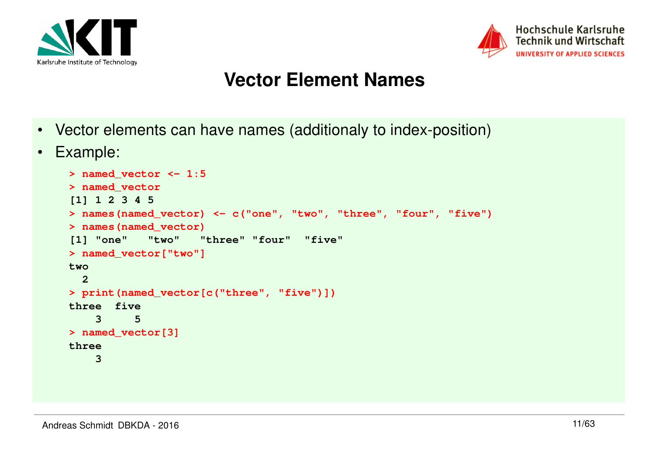



### **Vector Element Names**

- Vector elements can have names (additionaly to index-position)
- •Example:

```
> named_vector <- 1:5> named_vector
[1] 1 2 3 4 5
> names(named_vector) <- c("one", "two", "three", "four", "five")> names(named_vector)
[1] "one" "two" "three" "four" "five" > named_vector["two"]two 
 2 
> print(named_vector[c("three", "five")])three five \overline{5} 3 5 
> named_vector[3]three 
 3
```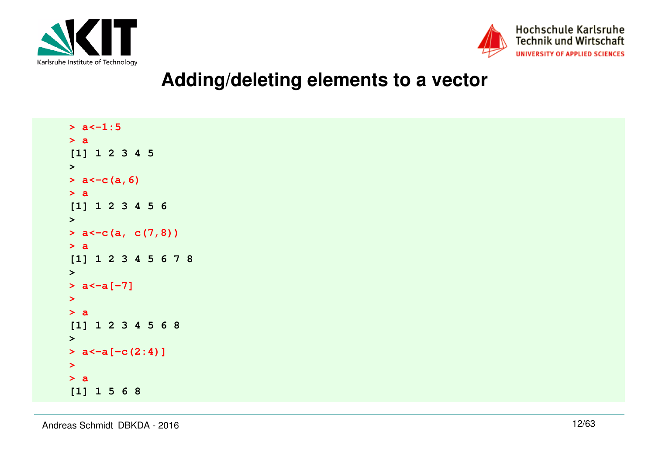



### **Adding/deleting elements to a vector**

 $> a < -1:5$ **> a [1] 1 2 3 4 5> > a<-c(a,6)> a [1] 1 2 3 4 5 6> > a<-c(a, c(7,8))> a [1] 1 2 3 4 5 6 7 8> > a<-a[-7]> > a [1] 1 2 3 4 5 6 8> > a<-a[-c(2:4)]> > a[1] 1 5 6 8**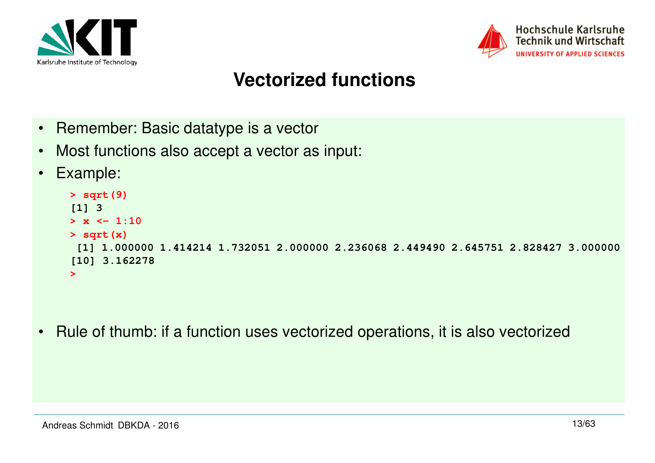



# **Vectorized functions**

- •Remember: Basic datatype is a vector
- •Most functions also accept a vector as input:
- •Example:

```
> sqrt(9)[1] 3
> x <- 1:10> sqrt(x)
 [1] 1.000000 1.414214 1.732051 2.000000 2.236068 2.449490 2.645751 2.828427 3.000000[10] 3.162278>
```
•Rule of thumb: if a function uses vectorized operations, it is also vectorized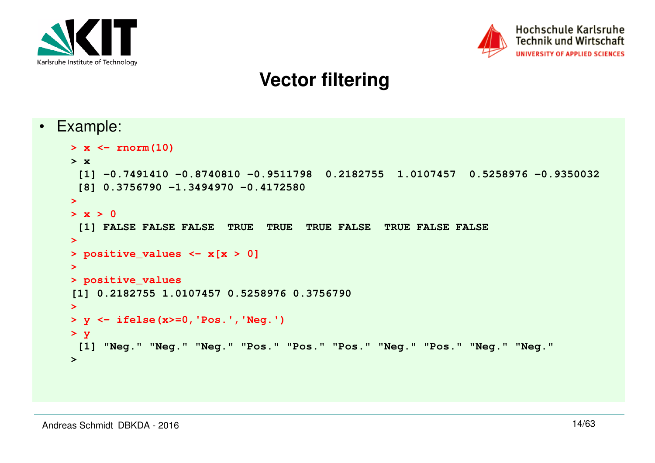

•



## **Vector filtering**

```
 Example:
  > x <- rnorm(10)> x
 [1] -0.7491410 -0.8740810 -0.9511798 0.2182755 1.0107457 0.5258976 -0.9350032 [8] 0.3756790 -1.3494970 -0.4172580> 
> x > 0
 [1] FALSE FALSE FALSE TRUE TRUE TRUE FALSE TRUE FALSE FALSE> 
> positive_values <- x[x > 0]> 
> positive_values
[1] 0.2182755 1.0107457 0.5258976 0.3756790> 
> y <- ifelse(x>=0,'Pos.','Neg.')> y
 [1] "Neg." "Neg." "Neg." "Pos." "Pos." "Pos." "Neg." "Pos." "Neg." "Neg.">
```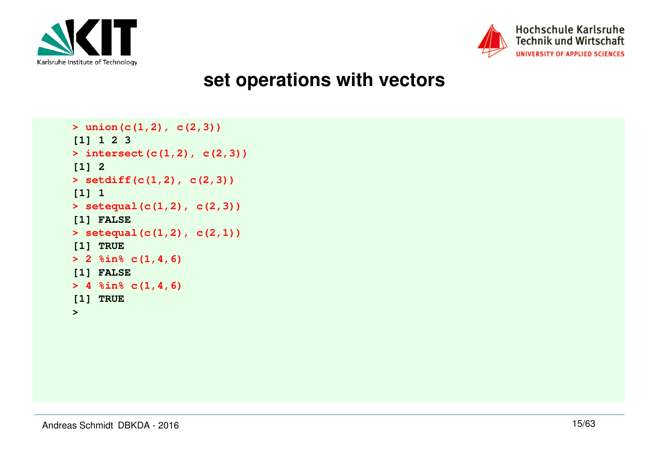



### **set operations with vectors**

```
> union(c(1,2), c(2,3))[1] 1 2 3
> intersect(c(1,2), c(2,3))[1] 2
> setdiff(c(1,2), c(2,3))[1] 1
> setequal(c(1,2), c(2,3))[1] FALSE
> setequal(c(1,2), c(2,1))[1] TRUE
> 2 %in% c(1,4,6)[1] FALSE
> 4 %in% c(1,4,6)[1] TRUE>
```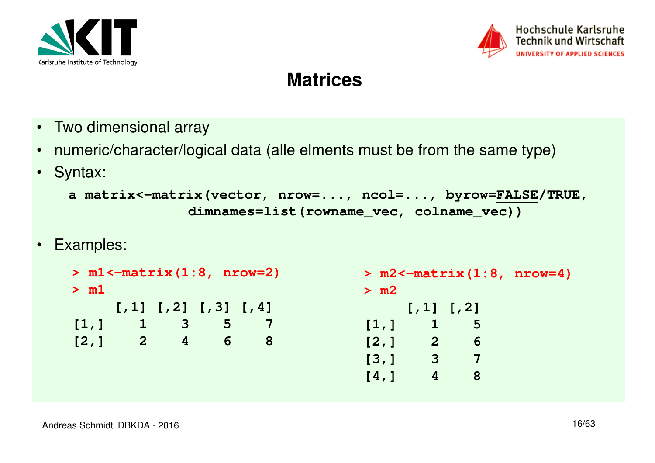



### **Matrices**

- Two dimensional array
- numeric/character/logical data (alle elments must be from the same type)
- Syntax:

```
a_matrix<-matrix(vector, nrow=..., ncol=..., byrow=FALSE/TRUE, dimnames=list(rowname_vec, colname_vec))
```
• Examples:

```
> m2<-matrix(1:8, nrow=4)> m2 [,1] [,2]\overline{5}[1,] 16\phantom{1}6[2, 1 2]\overline{7}\begin{bmatrix} 3, & 3 \end{bmatrix}8
                                       [4,] 4> m1<-matrix(1:8, nrow=2)> m1 [,1] [,2] [,3] [,4]
[1,] 1 3 5 78
[2,] 2 4 6 8
```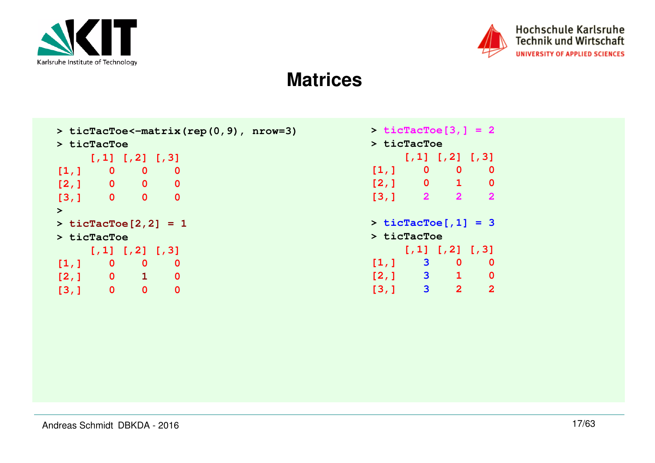



### **Matrices**

```
> ticTacToe<-matrix(rep(0,9), nrow=3)> ticTacToe
 [,1] [,2] [,3]
[1,] 0 0 0\overline{\mathbf{0}}[2,] 0 0 0\overline{0}[3,] 0 0 0> 
> ticTacToe[2,2] = 1> ticTacToe
 [,1] [,2] [,3]\overline{0}[1,] 0 0 0
[2,] 0 1 0\overline{0}[3,] 0 0 0
```

| $>$ ticTacToe[3,] = 2 |                                                                                |                                              |                         |  |  |  |  |
|-----------------------|--------------------------------------------------------------------------------|----------------------------------------------|-------------------------|--|--|--|--|
|                       | $>$ ticTacToe                                                                  |                                              |                         |  |  |  |  |
|                       |                                                                                | $[7, 1]$ $[7, 2]$ $[7, 3]$                   |                         |  |  |  |  |
| [1, 1]                | $\overline{\phantom{a}}$ . $\overline{\phantom{a}}$ . $\overline{\phantom{a}}$ | $\mathbf 0$                                  | 0                       |  |  |  |  |
|                       |                                                                                | [2, 1 0 1]                                   | 0                       |  |  |  |  |
| [3, 1]                | $\overline{2}$                                                                 | $\overline{2}$                               | $\overline{\mathbf{2}}$ |  |  |  |  |
|                       | > ticTacToe                                                                    | $>$ ticTacToe[,1] = 3                        |                         |  |  |  |  |
|                       |                                                                                | $[7,1]$ $[7,2]$ $[7,3]$                      |                         |  |  |  |  |
| [1, 1]                | $\overline{\phantom{a}}$ 3                                                     | 0                                            | 0                       |  |  |  |  |
|                       |                                                                                | $\begin{bmatrix} 2, 1 & 3 & 1 \end{bmatrix}$ | 0                       |  |  |  |  |
| [3,1]                 | $\overline{\mathbf{3}}$                                                        | $\mathbf{2}$                                 | $\overline{2}$          |  |  |  |  |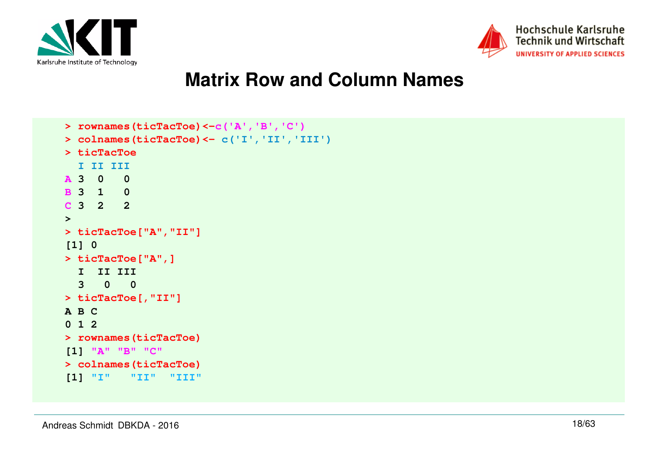



### **Matrix Row and Column Names**

```
> rownames(ticTacToe)<-c('A','B','C')
> colnames(ticTacToe)<- c('I','II','III')> ticTacToe
 I II III
A 3 0 0
B 3 1 0
C 3 2 2> 
> ticTacToe["A","II"][1] 0
> ticTacToe["A",] I II III 
 3 0 0 
> ticTacToe[,"II"]A B C 
0 1 2 
> rownames(ticTacToe)[1] "A" "B" "C"
> colnames(ticTacToe)
[1] "I" "II" "III"
```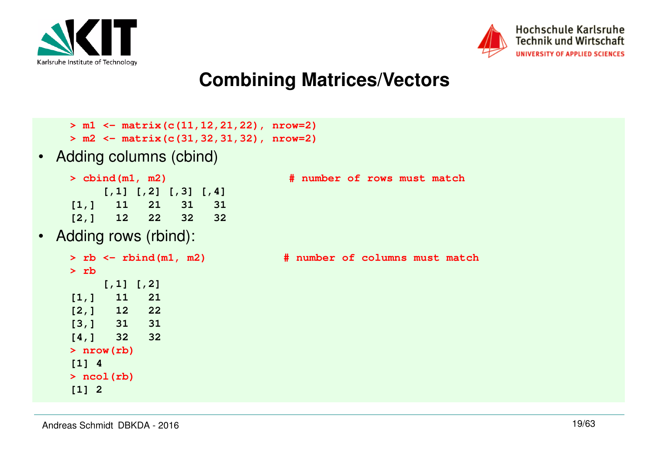



## **Combining Matrices/Vectors**

- **> m1 <- matrix(c(11,12,21,22), nrow=2)**
- **> m2 <- matrix(c(31,32,31,32), nrow=2)**
- Adding columns (cbind)
	- **[,1] [,2] [,3] [,4]** $31$ **[1,] 11 21 31 31**
	- $32$ **[2,] 12 22 32 32**
- •Adding rows (rbind):

```
> rb [,1] [,2]21
[1,] 11 21\overline{22}[2,] 12 2231[3,] 31 3132[4,] 32 32> nrow(rb)[1] 4
> ncol(rb)[1] 2
```

```
> cbind(m1, m2) # number of rows must match
```
**> rb <- rbind(m1, m2) # number of columns must match**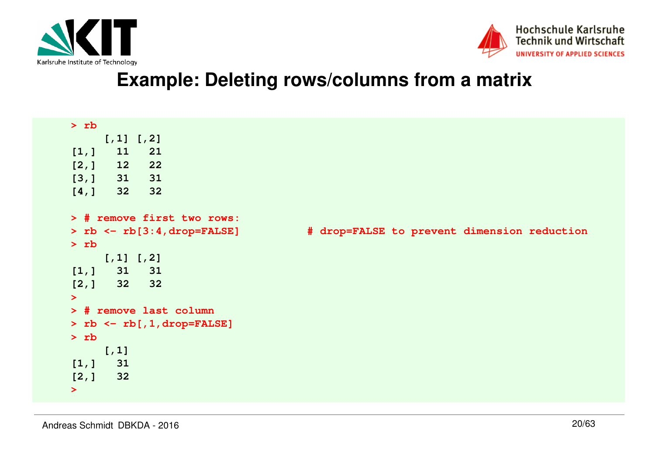



### **Example: Deleting rows/columns from a matrix**

| $>$ rb                                |                                             |
|---------------------------------------|---------------------------------------------|
| $[7,1]$ $[7,2]$                       |                                             |
| 11<br>21<br>[1,]                      |                                             |
| [2, 1]<br>22<br>12                    |                                             |
| 31<br>[3,] 31                         |                                             |
| 32<br>[4, 1]<br>32                    |                                             |
| > # remove first two rows:            |                                             |
| > $rb \leftarrow rb[3:4, drop=FALSE]$ | # drop=FALSE to prevent dimension reduction |
| $>$ rb                                |                                             |
| $[7,1]$ $[7,2]$                       |                                             |
| 31<br>31<br>[1,]                      |                                             |
| $[2,]$ 32 32                          |                                             |
| $\geq$                                |                                             |
| > # remove last column                |                                             |
| > $rb \leftarrow rb[, 1, drop=FALSE]$ |                                             |
| $>$ rb                                |                                             |
| $[1, 1]$                              |                                             |
| 31<br>[1,]                            |                                             |
| [2, 1]<br>32                          |                                             |
| $\blacktriangleright$                 |                                             |
|                                       |                                             |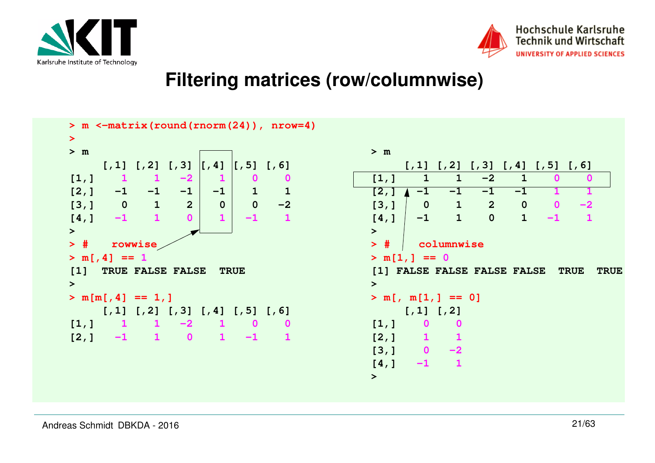



### **Filtering matrices (row/columnwise)**

| $\geq$                                                                                                                                      |                                                                                                   |
|---------------------------------------------------------------------------------------------------------------------------------------------|---------------------------------------------------------------------------------------------------|
| > m                                                                                                                                         | > m                                                                                               |
| $[7, 1]$ $[7, 2]$ $[7, 3]$ $[7, 4]$<br>$\begin{bmatrix} 7 & 5 \end{bmatrix}$ $\begin{bmatrix} 7 & 6 \end{bmatrix}$                          | $[7,1]$ $[7,2]$ $[7,3]$ $[7,4]$ $[7,5]$ $[7,6]$                                                   |
| $-2$<br>$\blacksquare$<br>[1,]<br>$\mathbf 0$<br>$\blacksquare$<br>0                                                                        | [1,]<br>$-2$<br>$\mathbf{1}$<br>$\mathbf{1}$<br>$\mathbf 0$<br>$\mathbf{1}$<br>O                  |
| $-1$ $-1$<br>$\mathbf{1}$<br>[2, 1]<br>$-1$<br>$\mathbf{1}$<br>$-1$                                                                         | [2, 1]<br>$-1$<br>$-1$<br>$-1$<br>$-1$                                                            |
| $\mathbf 0$<br>$\mathbf{1}$<br>$\overline{\mathbf{0}}$<br>$\overline{2}$<br>$-2$<br>[3, 1]<br>$\mathbf 0$                                   | $\mathbf{1}$<br>$\overline{2}$<br>$\mathbf 0$<br>[3, 1]<br>$\overline{0}$<br>$\mathbf{0}$<br>$-2$ |
| $\mathbf{1}$<br>$-1$<br>$-1$<br>$\Omega$<br>$\mathbf{1}$<br>[4, 1]                                                                          | $\mathbf{1}$<br>$\mathbf 0$<br>$\mathbf{1}$<br>$\mathbf{1}$<br>[4,]<br>$-1$<br>$-1$               |
| $\geq$                                                                                                                                      | $\geq$                                                                                            |
| $>$ #<br>rowwise                                                                                                                            | > #<br>columnwise                                                                                 |
| $> m[, 4] == 1$                                                                                                                             | $> m[1,] == 0$                                                                                    |
| TRUE FALSE FALSE<br>$\begin{bmatrix} 1 \end{bmatrix}$<br><b>TRUE</b>                                                                        | [1] FALSE FALSE FALSE FALSE<br><b>TRUE</b><br><b>TRUE</b>                                         |
|                                                                                                                                             | $\geq$                                                                                            |
| $\geq$                                                                                                                                      |                                                                                                   |
|                                                                                                                                             |                                                                                                   |
| $> m[m[, 4] == 1, ]$                                                                                                                        | $> m[, m[1,] == 0]$                                                                               |
| $[7,1]$ $[7,2]$ $[7,3]$ $[7,4]$ $[7,5]$ $[7,6]$<br>$\bf{0}$<br>$\mathbf{1}$<br>$\mathbf 0$                                                  | $[7,1]$ $[7,2]$<br>$\mathbf 0$<br>$\mathbf 0$                                                     |
| $1 -2$<br>$\left[1, \right]$<br>$\blacksquare$<br>$\overline{\mathbf{0}}$<br>$\mathbf{1}$<br>$\mathbf{1}$<br>$-1$<br>$\blacksquare$<br>$-1$ | [1, 1]                                                                                            |
| [2, 1]                                                                                                                                      | [2,] 1 1<br>$-2$                                                                                  |
|                                                                                                                                             | $\begin{bmatrix} 3 \\ 1 \end{bmatrix}$ 0<br>$\mathbf{1}$<br>$-1$<br>[4,]                          |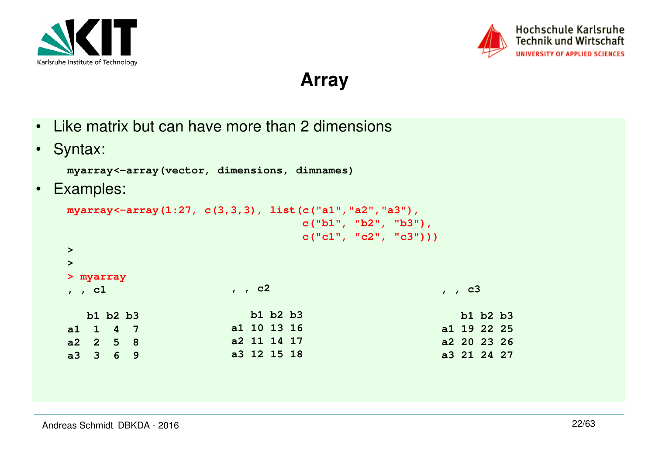



Hochschule Karlsruhe **Technik und Wirtschaft** UNIVERSITY OF APPLIED SCIENCES

**Array**

- •Like matrix but can have more than 2 dimensions
- $\bullet$ Syntax:

**myarray<-array(vector, dimensions, dimnames)**

•Examples:

```
myarray<-array(1:27, c(3,3,3), list(c("a1","a2","a3"), 
c("b1", "b2", "b3"), 
c("c1", "c2", "c3")))
```
**, , c2**

 **b1 b2 b3**

 **a1 10 13 16 a2 11 14 17a3 12 15 18**

```
> 
>
```
- **> myarray**
- **, , c1**

|          | b1 b2 b3    |  |
|----------|-------------|--|
| a1 1 4 7 |             |  |
|          | a2  2  5  8 |  |

- **, , c3 b1 b2 b3 a1 19 22 25**
	- **a2 20 23 26a3 21 24 27**

**a3 3 6 9**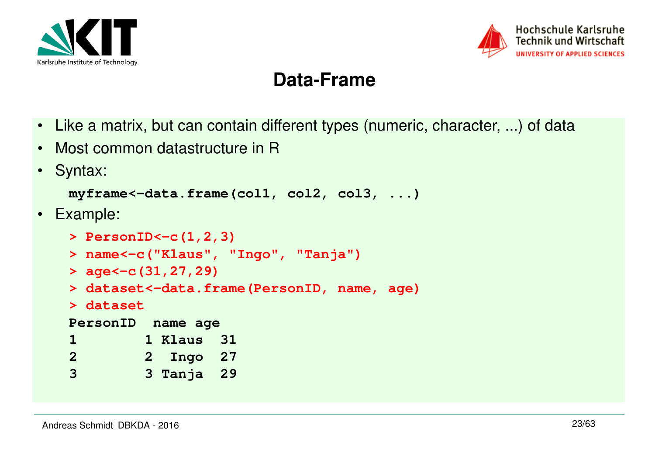



# **Data-Frame**

- Like a matrix, but can contain different types (numeric, character, ...) of data
- •Most common datastructure in R
- $\bullet$ Syntax:

```
myframe<-data.frame(col1, col2, col3, ...)
```
• Example:

```
> PersonID<-c(1,2,3)
> name<-c("Klaus", "Ingo", "Tanja")> age<-c(31,27,29)
> dataset<-data.frame(PersonID, name, age)> dataset
PersonID name age
1 1 Klaus 31
2 2 Ingo 27
3 3 Tanja 29
```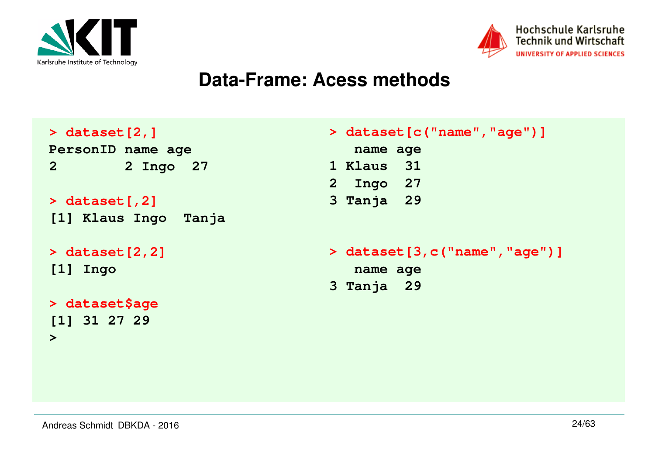



### **Data-Frame: Acess methods**

| $>$ dataset $[2, 1]$      |
|---------------------------|
| PersonID name age         |
| $\mathbf{2}$<br>2 Ingo 27 |
|                           |
| $>$ dataset [, 2]         |
| [1] Klaus Ingo Tanja      |
|                           |
| $>$ dataset $[2, 2]$      |
| $[1]$ Ingo                |
|                           |
| > dataset\$age            |
| [1] 31 27 29              |
| ➤                         |
|                           |
|                           |

|              | > dataset [c("name", "age") ]     |
|--------------|-----------------------------------|
| name age     |                                   |
| 1 Klaus 31   |                                   |
| 2 Ingo 27    |                                   |
| $3$ Tanja 29 |                                   |
|              |                                   |
|              | > dataset [3, c ("name", "age") ] |
|              |                                   |
| name age     |                                   |

**3 Tanja 29**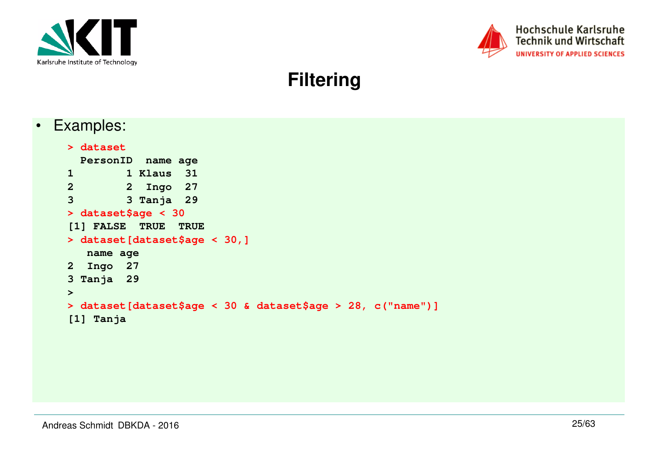



### **Filtering**

•Examples:

```
> dataset
 PersonID name age
1 1 Klaus 31
2 2 Ingo 27
3 3 Tanja 29> dataset$age < 30
[1] FALSE TRUE TRUE
> dataset[dataset$age < 30,] name age
2 Ingo 27
3 Tanja 29> 
> dataset[dataset$age < 30 & dataset$age > 28, c("name")][1] Tanja
```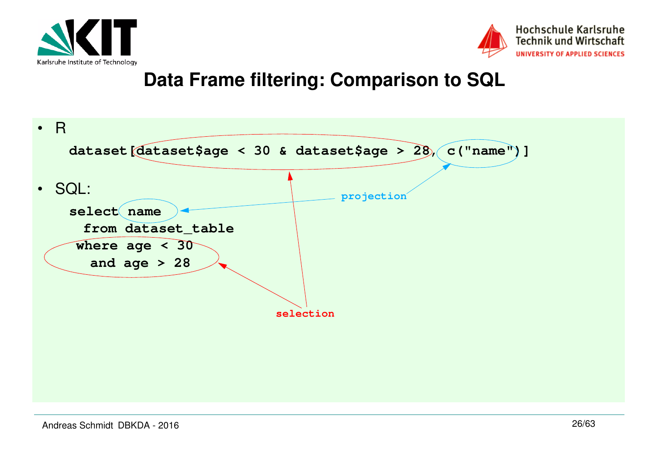



## **Data Frame filtering: Comparison to SQL**

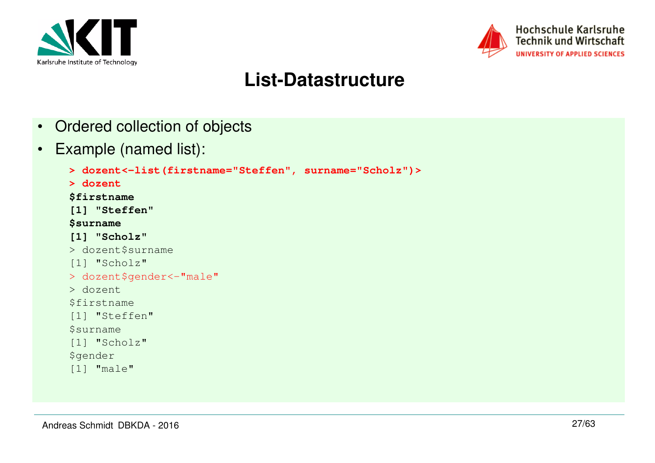



# **List-Datastructure**

- Ordered collection of objects
- •Example (named list):

```
> dozent<-list(firstname="Steffen", surname="Scholz")> > dozent
$firstname
[1] "Steffen"$surname
[1] "Scholz"
> dozent$surname[1] "Scholz"
> dozent$gender<-"male"> dozent
$firstname
[1] "Steffen"$surname
[1] "Scholz"$gender
[1] "male"
```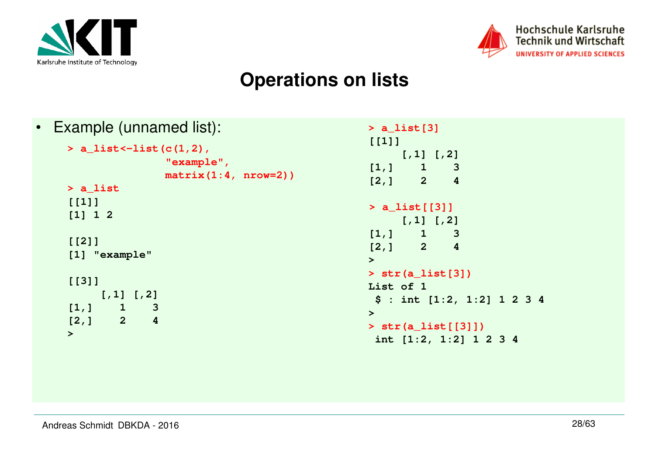



### **Operations on lists**

```
• Example (unnamed list):
```

```
> a_list<-list(c(1,2), 
"example", 
matrix(1:4, nrow=2))> a_list[[1]]
[1] 1 2[[2]]
[1] "example"[[3]] [,1] [,2]3
[1,] 1\overline{4}[2,] 2>
```

```
> a_list[3][[1]] [,1] [,2]\overline{3}[1,] 1\overline{A}[2,1] 2
> a_list[[3]]
 [,1] [,2]\overline{3}[1,] 1\overline{\mathbf{4}}[2,] 2> 
> str(a_list[3])List of 1
 $ : int [1:2, 1:2] 1 2 3 4> 
> str(a_list[[3]])
 int [1:2, 1:2] 1 2 3 4
```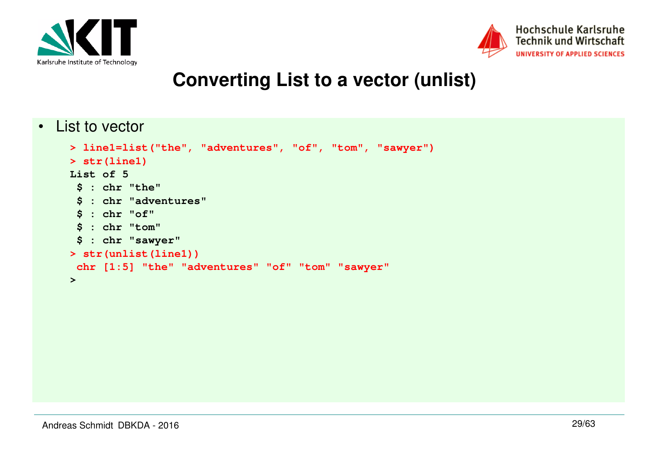



### **Converting List to a vector (unlist)**

• List to vector

```
> line1=list("the", "adventures", "of", "tom", "sawyer")> str(line1)List of 5
 $ : chr "the"
 $ : chr "adventures" $ : chr "of"
 $ : chr "tom"
 $ : chr "sawyer"
> str(unlist(line1))
 chr [1:5] "the" "adventures" "of" "tom" "sawyer">
```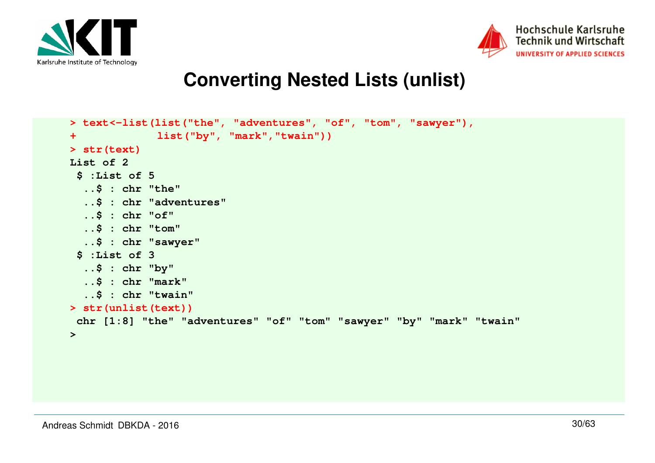



### **Converting Nested Lists (unlist)**

```
> text<-list(list("the", "adventures", "of", "tom", "sawyer"),+ list("by", "mark","twain"))> str(text)List of 2
 $ :List of 5
 ..$ : chr "the"
 ..$ : chr "adventures" ..$ : chr "of"
 ..$ : chr "tom"
 ..$ : chr "sawyer" $ :List of 3
 ..$ : chr "by"
 ..$ : chr "mark"
 ..$ : chr "twain"
> str(unlist(text))
 chr [1:8] "the" "adventures" "of" "tom" "sawyer" "by" "mark" "twain">
```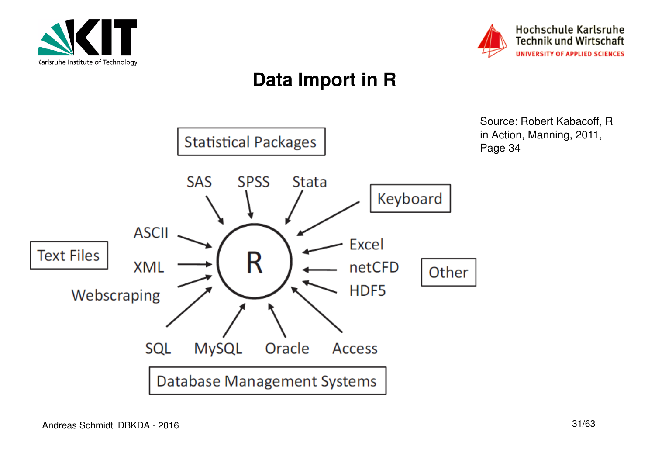



# **Data Import in R**

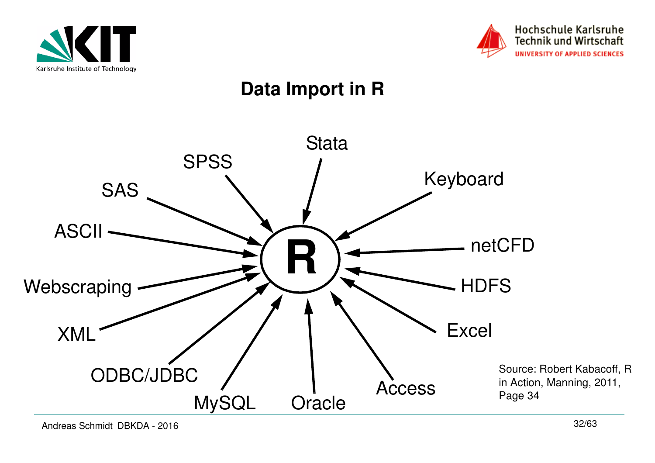



# **Data Import in R**

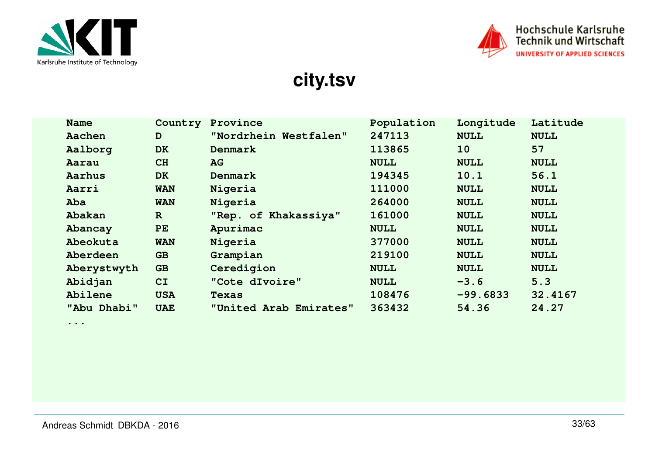



**city.tsv**

| <b>Name</b> | Country      | Province               | Population  | Longitude   | Latitude    |
|-------------|--------------|------------------------|-------------|-------------|-------------|
| Aachen      | D            | "Nordrhein Westfalen"  | 247113      | <b>NULL</b> | <b>NULL</b> |
| Aalborg     | <b>DK</b>    | Denmark                | 113865      | <b>10</b>   | 57          |
| Aarau       | CH           | AG                     | <b>NULL</b> | <b>NULL</b> | <b>NULL</b> |
| Aarhus      | <b>DK</b>    | Denmark                | 194345      | 10.1        | 56.1        |
| Aarri       | <b>WAN</b>   | Nigeria                | 111000      | <b>NULL</b> | <b>NULL</b> |
| Aba         | <b>WAN</b>   | Nigeria                | 264000      | <b>NULL</b> | <b>NULL</b> |
| Abakan      | $\mathbf{R}$ | "Rep. of Khakassiya"   | 161000      | <b>NULL</b> | <b>NULL</b> |
| Abancay     | PE           | Apurimac               | <b>NULL</b> | <b>NULL</b> | <b>NULL</b> |
| Abeokuta    | <b>WAN</b>   | Nigeria                | 377000      | <b>NULL</b> | <b>NULL</b> |
| Aberdeen    | <b>GB</b>    | Grampian               | 219100      | <b>NULL</b> | <b>NULL</b> |
| Aberystwyth | <b>GB</b>    | Ceredigion             | <b>NULL</b> | <b>NULL</b> | <b>NULL</b> |
| Abidjan     | CI           | "Cote dIvoire"         | <b>NULL</b> | $-3.6$      | 5.3         |
| Abilene     | <b>USA</b>   | <b>Texas</b>           | 108476      | $-99.6833$  | 32.4167     |
| "Abu Dhabi" | <b>UAE</b>   | "United Arab Emirates" | 363432      | 54.36       | 24.27       |

**...**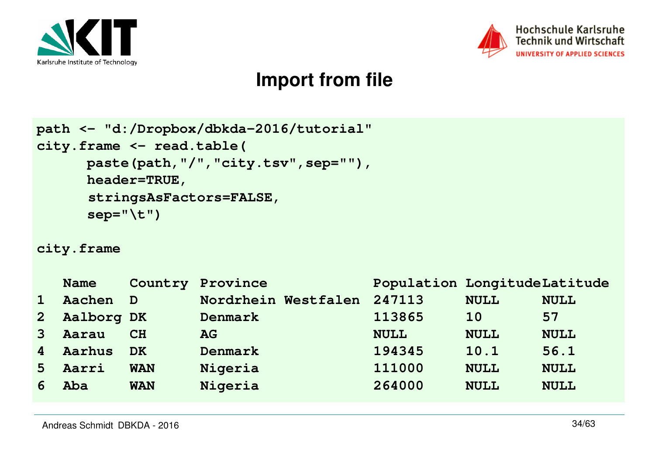



## **Import from file**

```
path <- "d:/Dropbox/dbkda-2016/tutorial"city.frame <- read.table(
 paste(path,"/","city.tsv",sep=""),  header=TRUE, 
stringsAsFactors=FALSE, sep="\t")
```
#### **city.frame**

|                                                | Nordrhein Westfalen                       | 247113           | <b>NULL</b> | <b>NULL</b>                  |
|------------------------------------------------|-------------------------------------------|------------------|-------------|------------------------------|
|                                                | Denmark                                   | 113865           | 10          | 57                           |
|                                                | <b>AG</b>                                 | <b>NULL</b>      | <b>NULL</b> | <b>NULL</b>                  |
|                                                | Denmark                                   | 194345           | 10.1        | 56.1                         |
| <b>WAN</b>                                     | Nigeria                                   | 111000           | <b>NULL</b> | <b>NULL</b>                  |
| <b>WAN</b>                                     | Nigeria                                   | 264000           | <b>NULL</b> | <b>NULL</b>                  |
| <b>Name</b><br>Aarau<br>Aarhus<br>Aarri<br>Aba | Aachen D<br>Aalborg DK<br>CH<br><b>DK</b> | Country Province |             | Population LongitudeLatitude |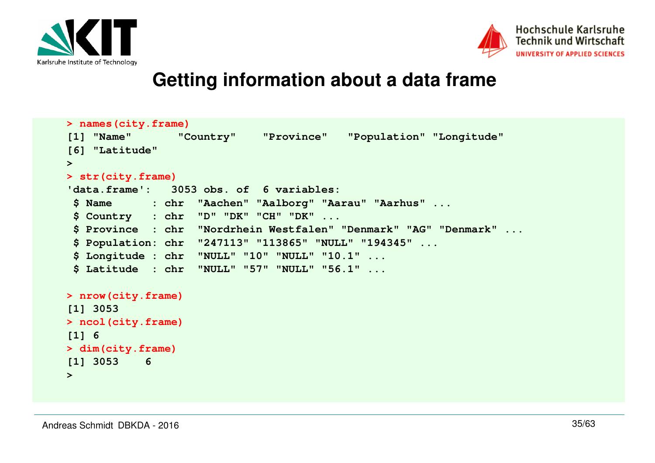



### **Getting information about a data frame**

```
> names(city.frame)"Country"
[1] "Name" "Country" "Province" "Population" "Longitude" [6] "Latitude" > 
> str(city.frame)
'data.frame': 3053 obs. of 6 variables:
 $ Name : chr "Aachen" "Aalborg" "Aarau" "Aarhus" ... $ Country : chr "D" "DK" "CH" "DK" ...
 $ Province : chr "Nordrhein Westfalen" "Denmark" "AG" "Denmark" ... $ Population: chr "247113" "113865" "NULL" "194345" ... $ Longitude : chr "NULL" "10" "NULL" "10.1" ...
 $ Latitude : chr "NULL" "57" "NULL" "56.1" ...> nrow(city.frame)[1] 3053
> ncol(city.frame)[1] 6
> dim(city.frame)[1] 3053 6>
```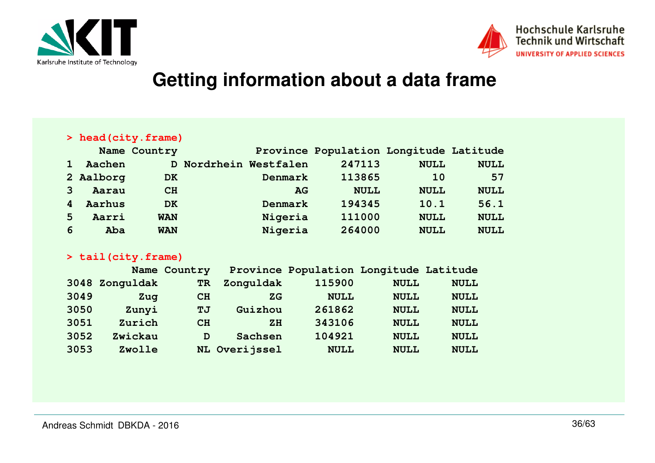



### **Getting information about a data frame**

#### **> head(city.frame)**

|   |           | Name Country |                       |           | Province Population Longitude Latitude |             |             |
|---|-----------|--------------|-----------------------|-----------|----------------------------------------|-------------|-------------|
|   | Aachen    |              | D Nordrhein Westfalen |           | 247113                                 | <b>NULL</b> | <b>NULL</b> |
|   | 2 Aalborg | DK.          |                       | Denmark   | 113865                                 | <b>10</b>   | 57          |
|   | Aarau     | CH           |                       | <b>AG</b> | <b>NULL</b>                            | <b>NULL</b> | <b>NULL</b> |
|   | Aarhus    | <b>DK</b>    |                       | Denmark   | 194345                                 | 10.1        | 56.1        |
| 5 | Aarri     | <b>WAN</b>   |                       | Nigeria   | 111000                                 | <b>NULL</b> | <b>NULL</b> |
| 6 | Aba       | <b>WAN</b>   |                       | Nigeria   | 264000                                 | <b>NULL</b> | <b>NULL</b> |

#### **> tail(city.frame)**

| 3048 Zonguldak<br>Zonguldak<br>115900<br><b>TR</b><br><b>NULL</b><br>3049<br><b>NULL</b><br>Zug<br>CH<br><b>NULL</b><br>ZG<br>261862<br>3050<br>Zunyi<br>Guizhou<br><b>NULL</b><br><b>TJ</b><br>Zurich<br>343106<br>3051<br><b>NULL</b><br>CH<br>ZH<br>104921<br>3052<br>Zwickau<br>Sachsen<br><b>NULL</b><br>D<br>3053<br>NL Overijssel<br>Zwolle<br><b>NULL</b><br><b>NULL</b> |  | Name Country | Province Population Longitude Latitude |             |
|----------------------------------------------------------------------------------------------------------------------------------------------------------------------------------------------------------------------------------------------------------------------------------------------------------------------------------------------------------------------------------|--|--------------|----------------------------------------|-------------|
|                                                                                                                                                                                                                                                                                                                                                                                  |  |              |                                        | <b>NULL</b> |
|                                                                                                                                                                                                                                                                                                                                                                                  |  |              |                                        | <b>NULL</b> |
|                                                                                                                                                                                                                                                                                                                                                                                  |  |              |                                        | <b>NULL</b> |
|                                                                                                                                                                                                                                                                                                                                                                                  |  |              |                                        | <b>NULL</b> |
|                                                                                                                                                                                                                                                                                                                                                                                  |  |              |                                        | <b>NULL</b> |
|                                                                                                                                                                                                                                                                                                                                                                                  |  |              |                                        | <b>NULL</b> |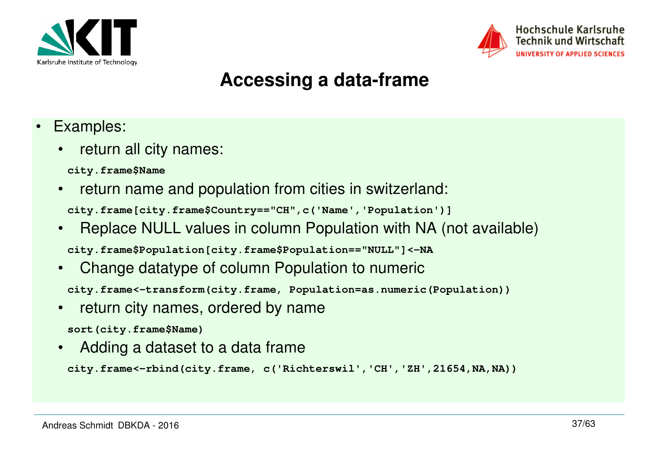



# **Accessing a data-frame**

- • Examples:
	- • return all city names:
		- **city.frame\$Name**
	- • return name and population from cities in switzerland: **city.frame[city.frame\$Country=="CH",c('Name','Population')]**
	- • Replace NULL values in column Population with NA (not available)**city.frame\$Population[city.frame\$Population=="NULL"]<-NA**
	- • Change datatype of column Population to numeric**city.frame<-transform(city.frame, Population=as.numeric(Population))**
	- $\bullet$  return city names, ordered by name**sort(city.frame\$Name)**
	- •Adding a dataset to a data frame

```
city.frame<-rbind(city.frame, c('Richterswil','CH','ZH',21654,NA,NA))
```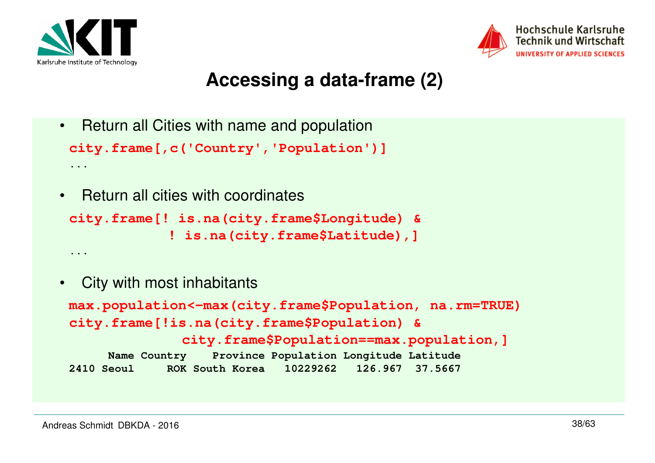

**...**

**...**



# **Accessing a data-frame (2)**

- Return all Cities with name and population**city.frame[,c('Country','Population')]**
- Return all cities with coordinates

```
city.frame[! is.na(city.frame$Longitude) & ! is.na(city.frame$Latitude),]
```
• City with most inhabitants**max.population<-max(city.frame\$Population, na.rm=TRUE)city.frame[!is.na(city.frame\$Population) & city.frame\$Population==max.population,] Name Country Province Population Longitude Latitude**126.967 37.5667 **2410 Seoul ROK South Korea 10229262 126.967 37.5667**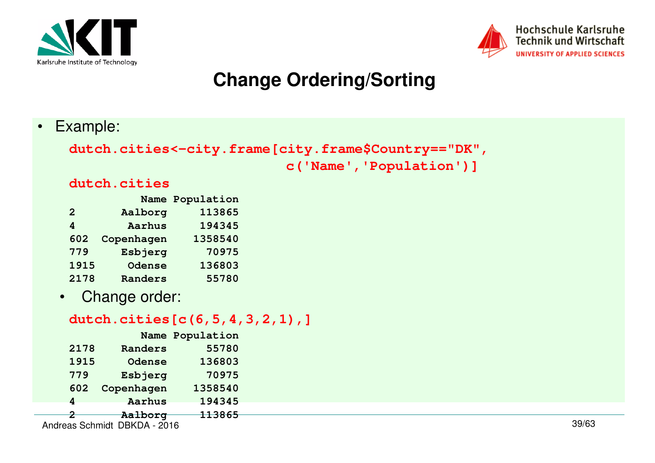



# **Change Ordering/Sorting**

•Example:

```
dutch.cities<-city.frame[city.frame$Country=="DK",c('Name','Population')]dutch.cities
```
#### *Name Population* 113865 2 Aalborg 194345 **4 Aarhus 194345**1358540 602 Copenhagen 70975 779 Esbjerg **1915 Odense 136803**

- **2178** Randers
- $\bullet$ Change order:

### **dutch.cities[c(6,5,4,3,2,1),]**

55780

|      | Name Population              |         |
|------|------------------------------|---------|
| 2178 | Randers                      | 55780   |
| 1915 | Odense                       | 136803  |
| 779  | Esbjerg                      | 70975   |
| 602  | Copenhagen                   | 1358540 |
| 4    | Aarhus                       | 194345  |
|      | Aalborg                      | 113865  |
|      | Andreas Schmidt DBKDA - 2016 |         |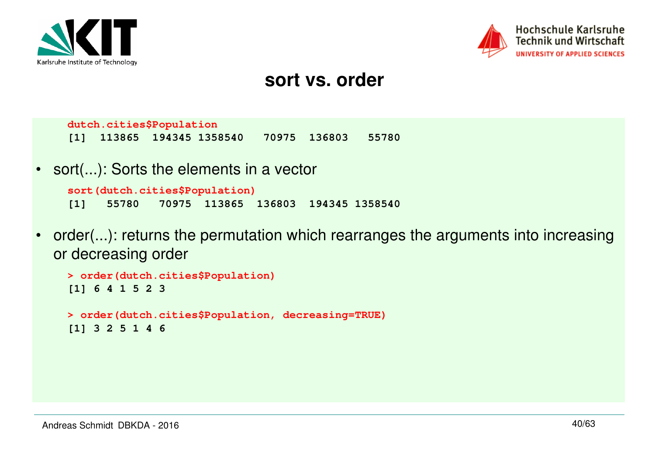



### **sort vs. order**

**dutch.cities\$Population[1] 113865 194345 1358540 70975 136803 55780**

• sort(...): Sorts the elements in a vector

```
sort(dutch.cities$Population)
[1] 55780 70975 113865 136803 194345 1358540
```
• order(...): returns the permutation which rearranges the arguments into increasing or decreasing order

```
> order(dutch.cities$Population)[1] 6 4 1 5 2 3> order(dutch.cities$Population, decreasing=TRUE)[1] 3 2 5 1 4 6
```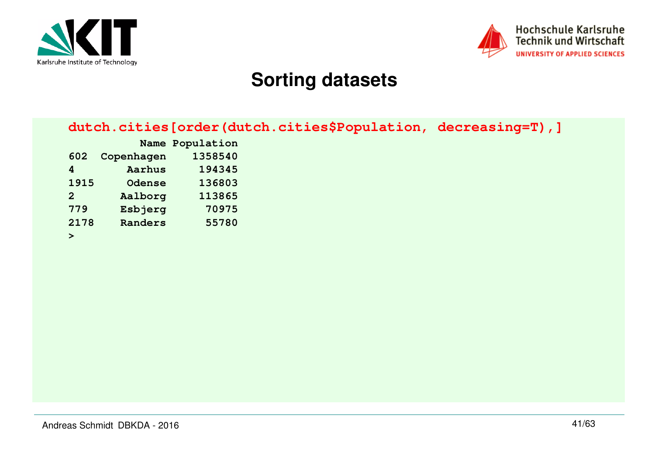



# **Sorting datasets**

| dutch.cities [order (dutch.cities\$Population, decreasing=T), ] |  |  |  |  |  |  |
|-----------------------------------------------------------------|--|--|--|--|--|--|
|-----------------------------------------------------------------|--|--|--|--|--|--|

|      |               | Name Population |
|------|---------------|-----------------|
| 602  | Copenhagen    | 1358540         |
| 4    | <b>Aarhus</b> | 194345          |
| 1915 | <b>Odense</b> | 136803          |
| 2    | Aalborg       | 113865          |
| 779  | Esbjerg       | 70975           |
| 2178 | Randers       | 55780           |
| ➤    |               |                 |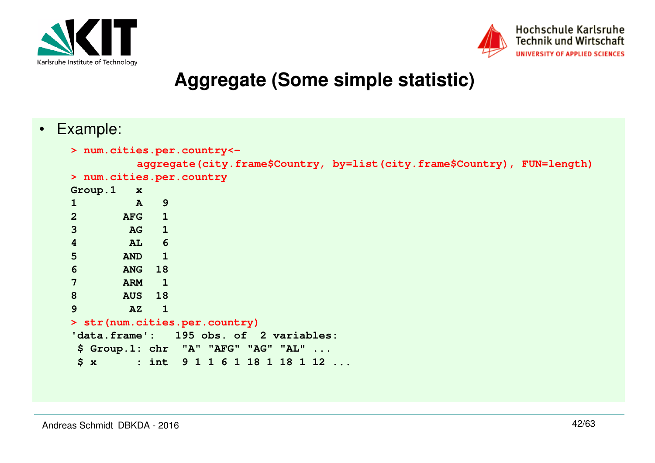



### **Aggregate (Some simple statistic)**

• Example:

```
> num.cities.per.country<-
aggregate(city.frame$Country, by=list(city.frame$Country), FUN=length)> num.cities.per.countryGroup.1 x\mathbf{A}1 A 9
2 AFG 1
3 AG 16
4 AL 6
5 AND 1
6 ANG 18
7 ARM 1
8 AUS 18\overline{\phantom{a}}9 AZ 1
> str(num.cities.per.country)
'data.frame': 195 obs. of 2 variables: $ Group.1: chr "A" "AFG" "AG" "AL" ...
 $ x : int 9 1 1 6 1 18 1 18 1 12 ...
```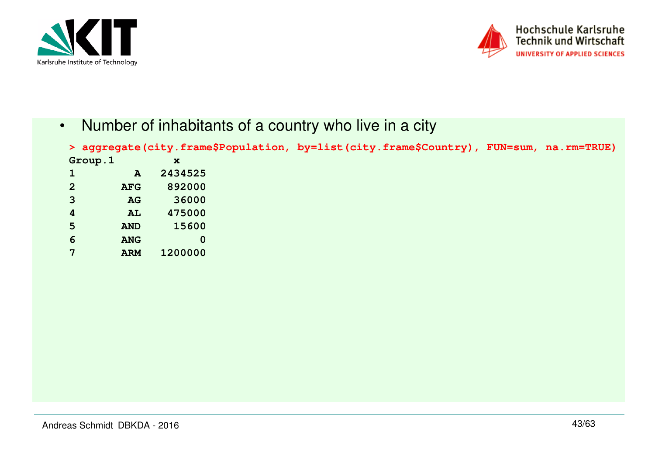



•Number of inhabitants of a country who live in a city

| > aggregate(city.frame\$Population, by=list(city.frame\$Country), FUN=sum, na.rm=TRUE) |            |             |  |  |  |
|----------------------------------------------------------------------------------------|------------|-------------|--|--|--|
|                                                                                        | Group.1    | $\mathbf x$ |  |  |  |
|                                                                                        | A          | 2434525     |  |  |  |
| $\mathbf{2}$                                                                           | <b>AFG</b> | 892000      |  |  |  |
| 3                                                                                      | AG         | 36000       |  |  |  |
| 4                                                                                      | AL         | 475000      |  |  |  |
| 5                                                                                      | <b>AND</b> | 15600       |  |  |  |
| 6                                                                                      | <b>ANG</b> | 0           |  |  |  |
|                                                                                        | <b>ARM</b> | 1200000     |  |  |  |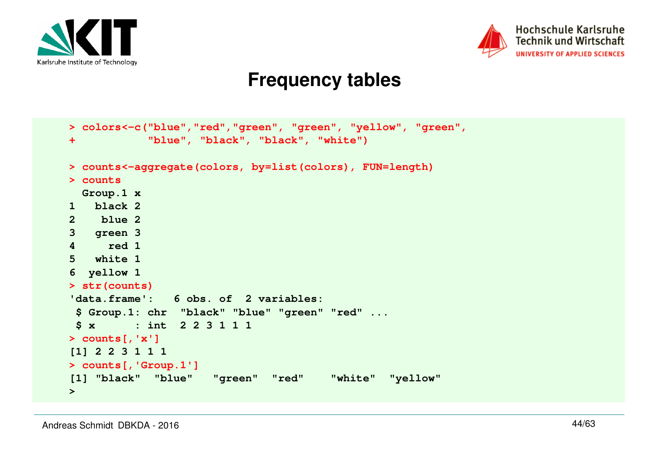



### **Frequency tables**

```
> colors<-c("blue","red","green", "green", "yellow", "green", + "blue", "black", "black", "white")> counts<-aggregate(colors, by=list(colors), FUN=length)> counts
 Group.1 x
1 black 2
2 blue 2
3 green 3
4 red 1
5 white 1
6 yellow 1
> str(counts)
'data.frame': 6 obs. of 2 variables:
 $ Group.1: chr "black" "blue" "green" "red" ... $ x : int 2 2 3 1 1 1> counts[,'x']
[1] 2 2 3 1 1 1
> counts[,'Group.1']
[1] "black" "blue" "green" "red" "white" "yellow">
```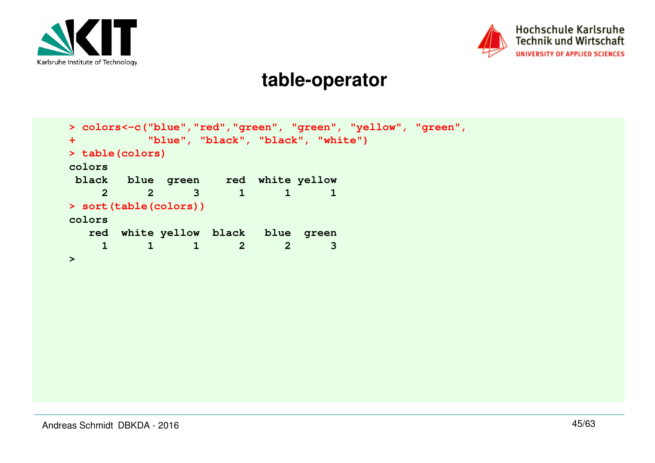



### **table-operator**

```
> colors<-c("blue","red","green", "green", "yellow", "green", + "blue", "black", "black", "white")> table(colors)colors
 black blue green red white yellow 
 2 2 3 1 1 1 > sort(table(colors))colors
 red white yellow black blue green \overline{3} 1 1 1 2 2 3 >
```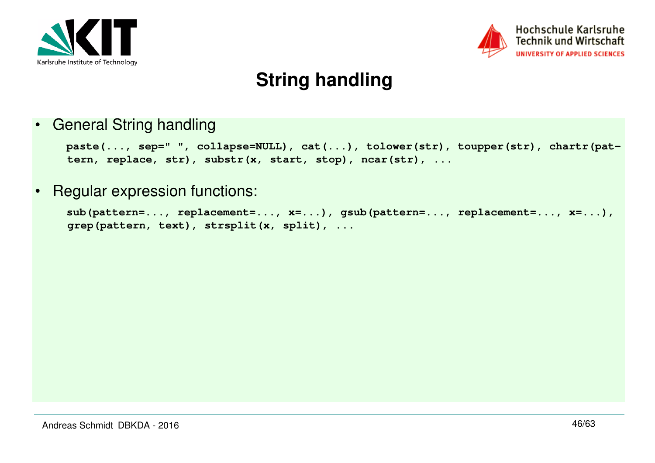



# **String handling**

•General String handling

```
paste(..., sep=" ", collapse=NULL), cat(...), tolower(str), toupper(str), chartr(pat-
tern, replace, str), substr(x, start, stop), ncar(str), ...
```
•Regular expression functions:

```
sub(pattern=..., replacement=..., x=...), gsub(pattern=..., replacement=..., x=...), grep(pattern, text), strsplit(x, split), ...
```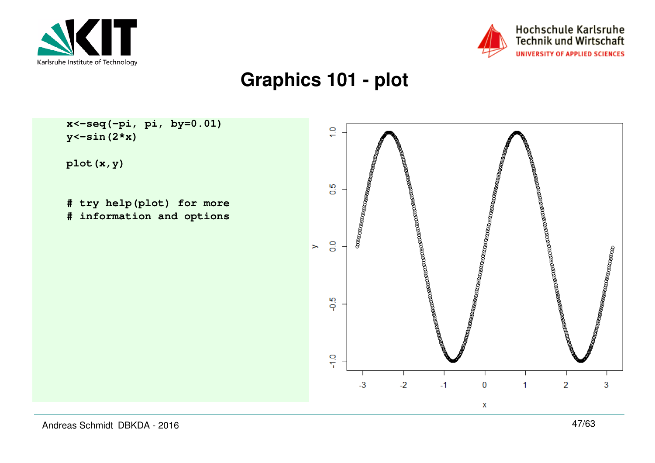



## **Graphics 101 - plot**



Andreas Schmidt DBKDA - 2016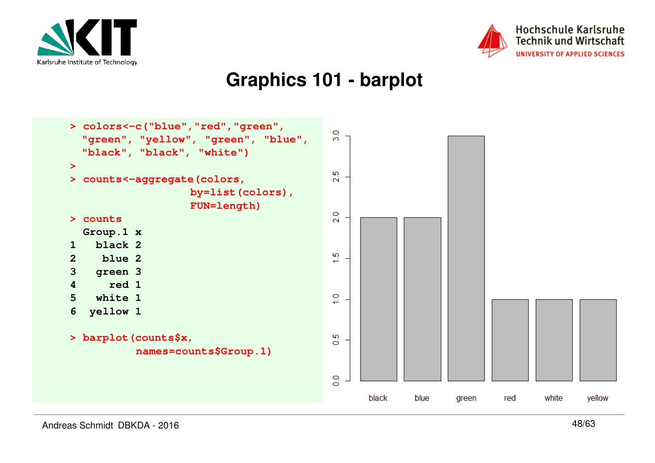



### **Graphics 101 - barplot**

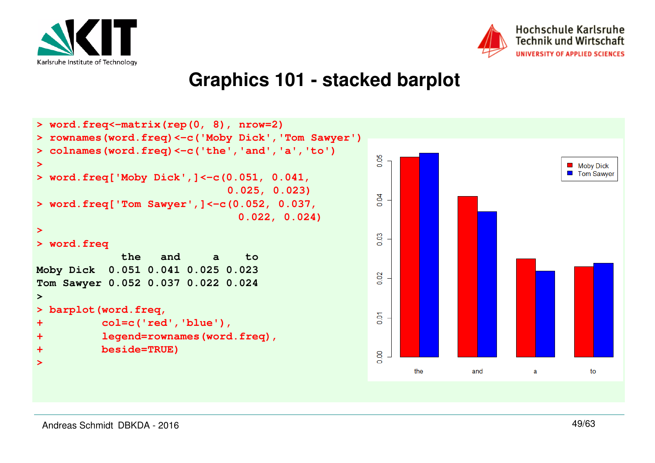



#### Hochschule Karlsruhe **Technik und Wirtschaft** UNIVERSITY OF APPLIED SCIENCES

### **Graphics 101 - stacked barplot**

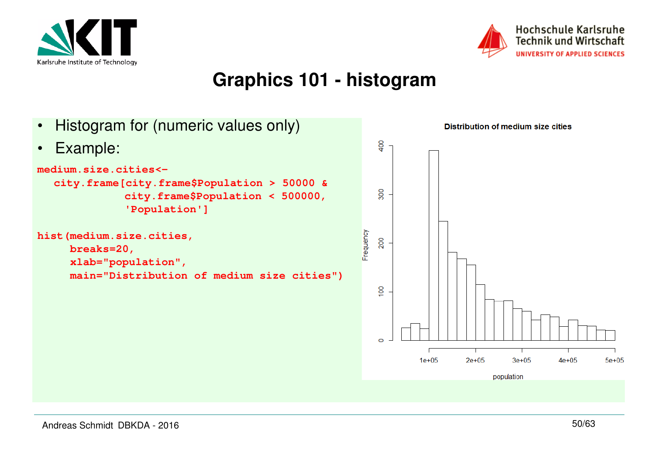



### **Graphics 101 - histogram**

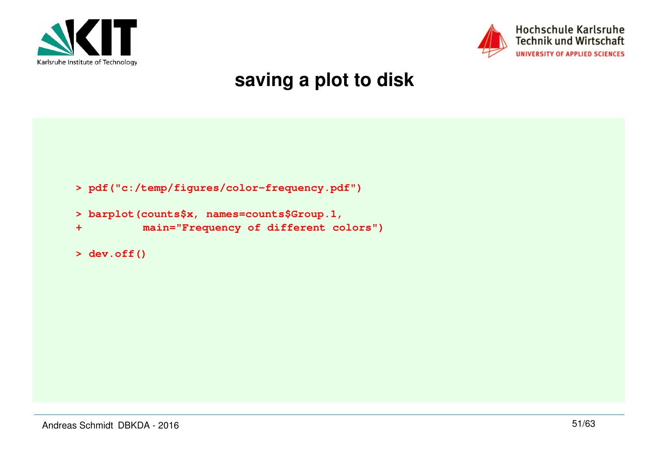



# **saving a plot to disk**

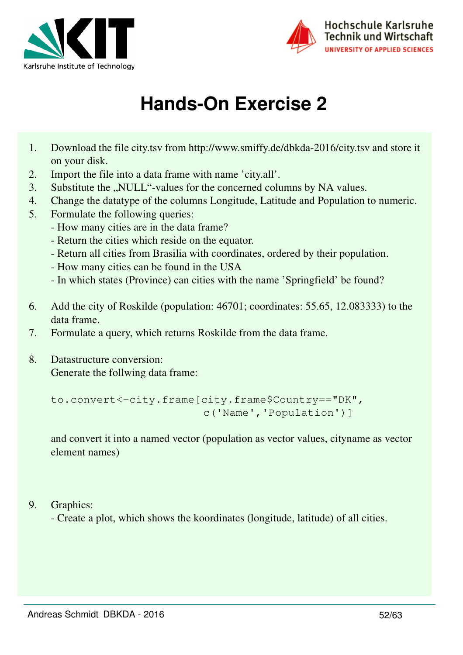



# **Hands-On Exercise 2**

- 1. Download the file city.tsv from http://www.smiffy.de/dbkda-2016/city.tsv and store it on your disk.
- 2. Import the file into a data frame with name 'city.all'.
- 3. Substitute the "NULL"-values for the concerned columns by NA values.
- 4. Change the datatype of the columns Longitude, Latitude and Population to numeric.
- 5. Formulate the following queries:
	- How many cities are in the data frame?
	- Return the cities which reside on the equator.
	- Return all cities from Brasilia with coordinates, ordered by their population.
	- How many cities can be found in the USA
	- In which states (Province) can cities with the name 'Springfield' be found?
- 6. Add the city of Roskilde (population: 46701; coordinates: 55.65, 12.083333) to the data frame.
- 7. Formulate a query, which returns Roskilde from the data frame.
- 8. Datastructure conversion: Generate the follwing data frame:

```
to.convert<-city.frame[city.frame$Country=="DK",
                       c('Name','Population')]
```
and convert it into a named vector (population as vector values, cityname as vector element names)

9. Graphics:

- Create a plot, which shows the koordinates (longitude, latitude) of all cities.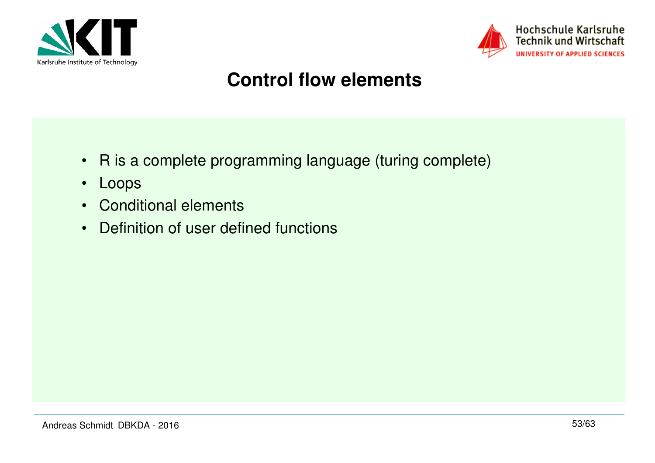



# **Control flow elements**

- R is a complete programming language (turing complete)
- Loops
- Conditional elements
- Definition of user defined functions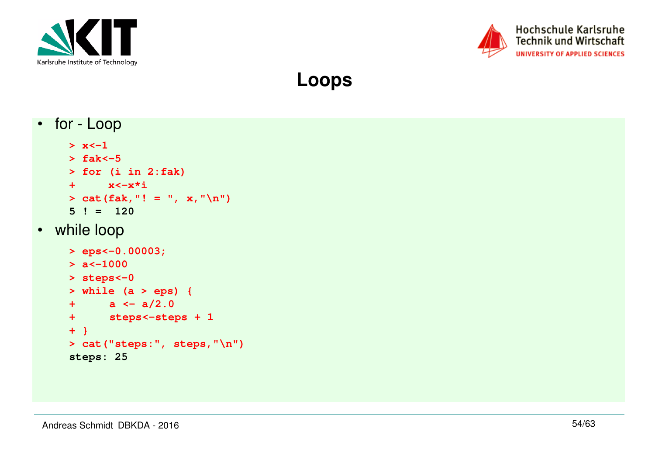



**Loops**

• for - Loop $> x < -1$  **> fak<-5 > for (i in 2:fak) + x<-x\*i > cat(fak,"! = ", x,"\n")5 ! = 120** • while loop**> eps<-0.00003;> a<-1000 > steps<-0 > while (a > eps) {+ a <- a/2.0 + steps<-steps + 1+ } > cat("steps:", steps,"\n")steps: 25**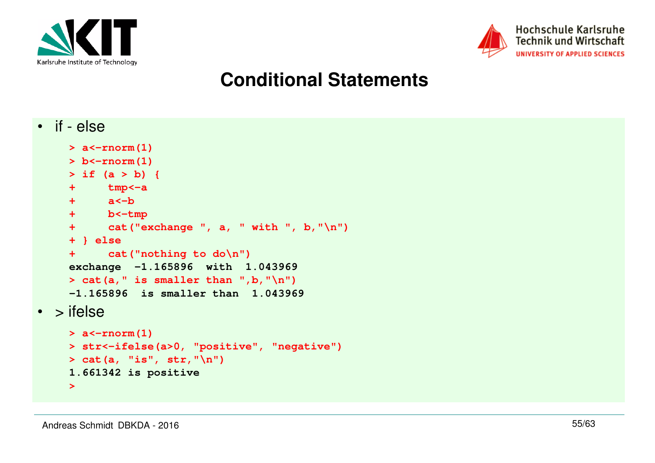



# **Conditional Statements**

```
• if - else
```

```
> a<-rnorm(1)
> b<-rnorm(1)
> if (a > b) {+ tmp<-a+ a<-b
+ b<-tmp
+ cat("exchange ", a, " with ", b,"\n")+ } else 
+ cat("nothing to do\n")
exchange -1.165896 with 1.043969 > cat(a, " is smaller than ",b, "\n")
-1.165896 is smaller than 1.043969 • > ifelse> a<-rnorm(1)
> str<-ifelse(a>0, "positive", "negative")> cat(a, "is", str,"\n")1.661342 is positive
```
**>**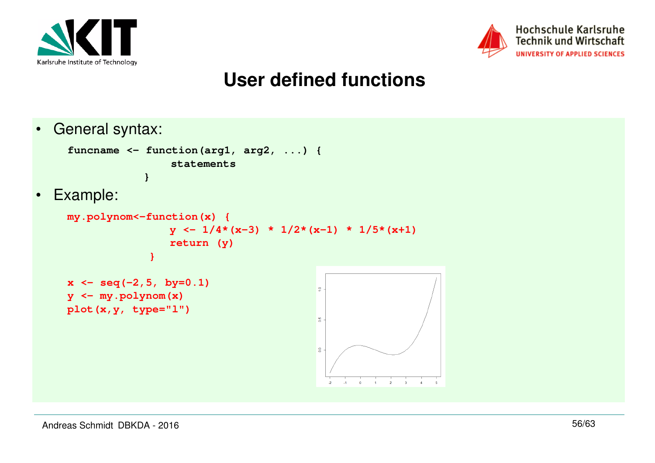



# **User defined functions**

•General syntax:

•

```
funcname <- function(arg1, arg2, ...) { statements} Example:
```

```
my.polynom<-function(x) {x \frac{y \leftarrow 1}{4 \times (x-3)} \times \frac{1}{2 \times (x-1)} \times \frac{1}{5 \times (x+1)} return (y)}
```

```
x <- seq(-2,5, by=0.1)y <- my.polynom(x)
plot(x,y, type="l")
```
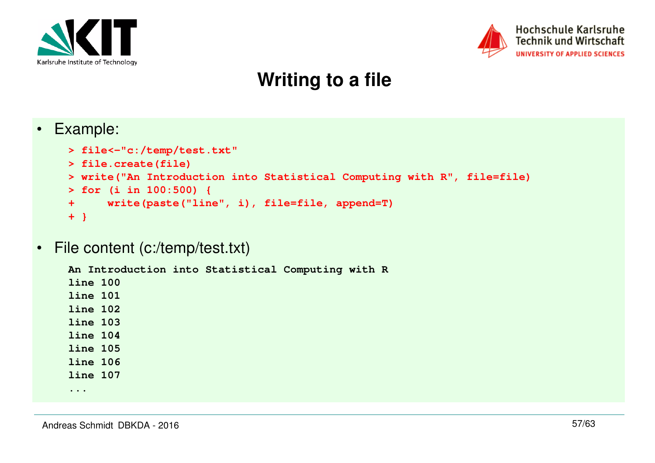



# **Writing to a file**

•Example:

```
> file<-"c:/temp/test.txt"> file.create(file)
> write("An Introduction into Statistical Computing with R", file=file)> for (i in 100:500) {
+ write(paste("line", i), file=file, append=T)+ }
```
•File content (c:/temp/test.txt)

```
An Introduction into Statistical Computing with Rline 100
line 101
line 102
line 103
line 104
line 105
line 106
line 107
```
**...**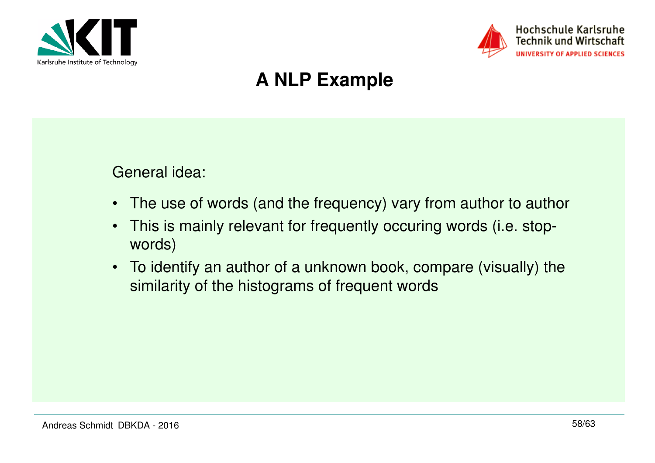



# **A NLP Example**

### General idea:

- The use of words (and the frequency) vary from author to author
- This is mainly relevant for frequently occuring words (i.e. stopwords)
- To identify an author of a unknown book, compare (visually) the similarity of the histograms of frequent words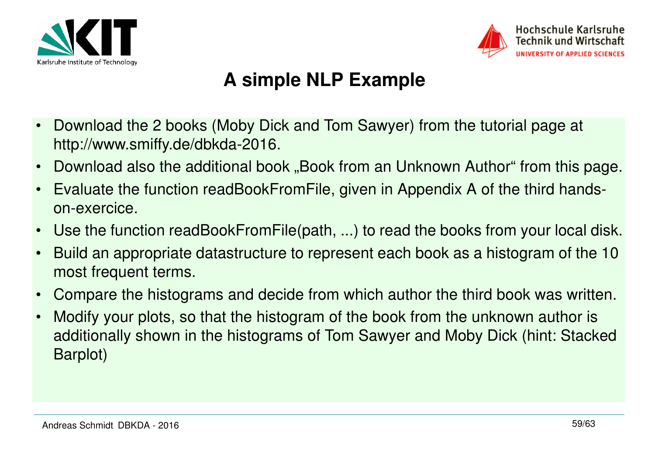



# **A simple NLP Example**

- • Download the 2 books (Moby Dick and Tom Sawyer) from the tutorial page at http://www.smiffy.de/dbkda-2016.
- •Download also the additional book "Book from an Unknown Author" from this page.
- • Evaluate the function readBookFromFile, given in Appendix A of the third handson-exercice.
- •Use the function readBookFromFile(path, ...) to read the books from your local disk.
- • Build an appropriate datastructure to represent each book as a histogram of the 10 most frequent terms.
- •Compare the histograms and decide from which author the third book was written.
- • Modify your plots, so that the histogram of the book from the unknown author is additionally shown in the histograms of Tom Sawyer and Moby Dick (hint: Stacked Barplot)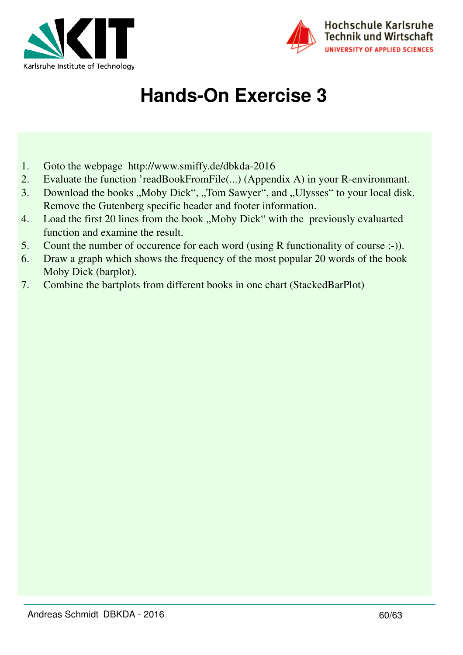



# **Hands-On Exercise 3**

- 1. Goto the webpage http://www.smiffy.de/dbkda-2016
- 2. Evaluate the function 'readBookFromFile(...) (Appendix A) in your R-environmant.
- 3. Download the books "Moby Dick", "Tom Sawyer", and "Ulysses" to your local disk. Remove the Gutenberg specific header and footer information.
- 4. Load the first 20 lines from the book "Moby Dick" with the previously evaluarted function and examine the result.
- 5. Count the number of occurence for each word (using R functionality of course ;-)).
- 6. Draw a graph which shows the frequency of the most popular 20 words of the book Moby Dick (barplot).
- 7. Combine the bartplots from different books in one chart (StackedBarPlot)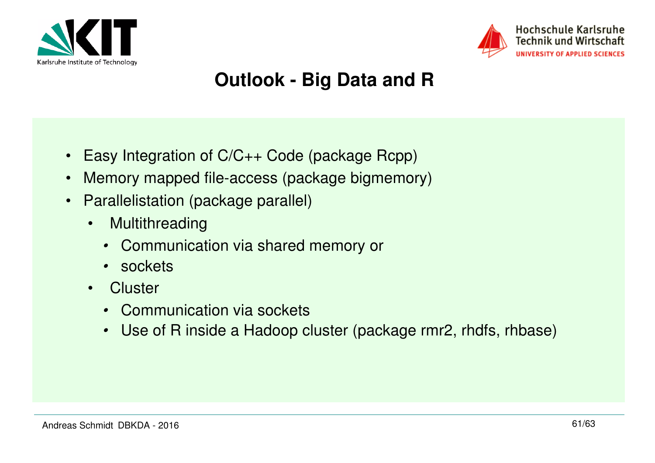



# **Outlook - Big Data and R**

- $\bullet$ Easy Integration of C/C++ Code (package Rcpp)
- •Memory mapped file-access (package bigmemory)
- Parallelistation (package parallel)
	- • Multithreading
		- Communication via shared memory or
		- sockets
	- $\bullet$ **Cluster** 
		- Communication via sockets
		- Use of R inside a Hadoop cluster (package rmr2, rhdfs, rhbase)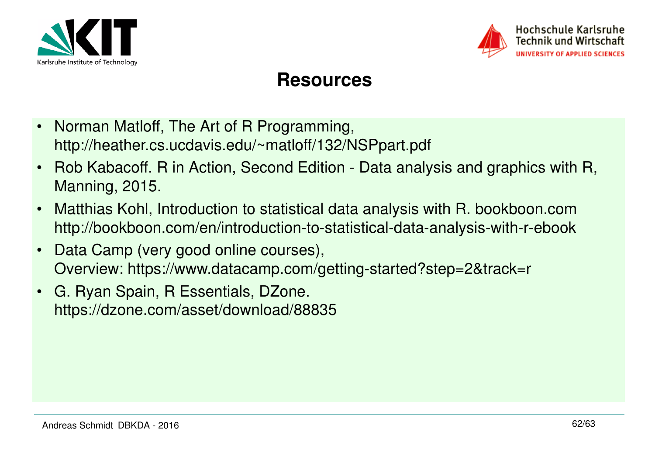



### **Resources**

- $\bullet$  Norman Matloff, The Art of R Programming, http://heather.cs.ucdavis.edu/~matloff/132/NSPpart.pdf
- • Rob Kabacoff. R in Action, Second Edition - Data analysis and graphics with R, Manning, 2015.
- • Matthias Kohl, Introduction to statistical data analysis with R. bookboon.comhttp://bookboon.com/en/introduction-to-statistical-data-analysis-with-r-ebook
- • Data Camp (very good online courses), Overview: https://www.datacamp.com/getting-started?step=2&track=r
- • G. Ryan Spain, R Essentials, DZone. https://dzone.com/asset/download/88835